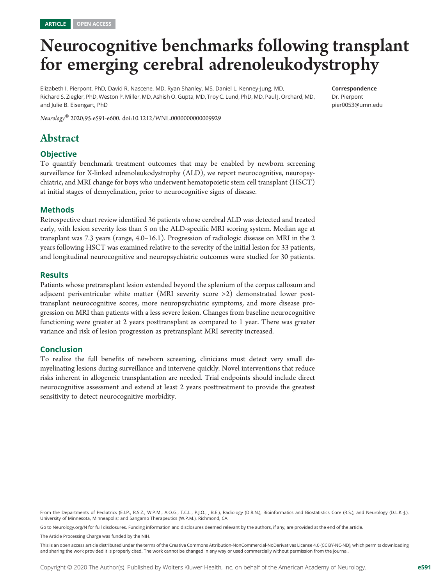## Neurocognitive benchmarks following transplant for emerging cerebral adrenoleukodystrophy

Elizabeth I. Pierpont, PhD, David R. Nascene, MD, Ryan Shanley, MS, Daniel L. Kenney-Jung, MD, Richard S. Ziegler, PhD, Weston P. Miller, MD, Ashish O. Gupta, MD, Troy C. Lund, PhD, MD, Paul J. Orchard, MD, and Julie B. Eisengart, PhD

Correspondence

Dr. Pierpont [pier0053@umn.edu](mailto:pier0053@umn.edu)

Neurology® 2020;95:e591-e600. doi:[10.1212/WNL.0000000000009929](http://dx.doi.org/10.1212/WNL.0000000000009929)

## Abstract

#### **Objective**

To quantify benchmark treatment outcomes that may be enabled by newborn screening surveillance for X-linked adrenoleukodystrophy (ALD), we report neurocognitive, neuropsychiatric, and MRI change for boys who underwent hematopoietic stem cell transplant (HSCT) at initial stages of demyelination, prior to neurocognitive signs of disease.

#### Methods

Retrospective chart review identified 36 patients whose cerebral ALD was detected and treated early, with lesion severity less than 5 on the ALD-specific MRI scoring system. Median age at transplant was 7.3 years (range, 4.0–16.1). Progression of radiologic disease on MRI in the 2 years following HSCT was examined relative to the severity of the initial lesion for 33 patients, and longitudinal neurocognitive and neuropsychiatric outcomes were studied for 30 patients.

#### Results

Patients whose pretransplant lesion extended beyond the splenium of the corpus callosum and adjacent periventricular white matter (MRI severity score >2) demonstrated lower posttransplant neurocognitive scores, more neuropsychiatric symptoms, and more disease progression on MRI than patients with a less severe lesion. Changes from baseline neurocognitive functioning were greater at 2 years posttransplant as compared to 1 year. There was greater variance and risk of lesion progression as pretransplant MRI severity increased.

#### Conclusion

To realize the full benefits of newborn screening, clinicians must detect very small demyelinating lesions during surveillance and intervene quickly. Novel interventions that reduce risks inherent in allogeneic transplantation are needed. Trial endpoints should include direct neurocognitive assessment and extend at least 2 years posttreatment to provide the greatest sensitivity to detect neurocognitive morbidity.

Go to [Neurology.org/N](https://n.neurology.org/lookup/doi/10.1212/WNL.0000000000009929) for full disclosures. Funding information and disclosures deemed relevant by the authors, if any, are provided at the end of the article.

The Article Processing Charge was funded by the NIH.

From the Departments of Pediatrics (E.I.P., R.S.Z., W.P.M., A.O.G., T.C.L., P.J.O., J.B.E.), Radiology (D.R.N.), Bioinformatics and Biostatistics Core (R.S.), and Neurology (D.L.K.-J.), University of Minnesota, Minneapolis; and Sangamo Therapeutics (W.P.M.), Richmond, CA.

This is an open access article distributed under the terms of the [Creative Commons Attribution-NonCommercial-NoDerivatives License 4.0 \(CC BY-NC-ND\),](http://creativecommons.org/licenses/by-nc-nd/4.0/) which permits downloading and sharing the work provided it is properly cited. The work cannot be changed in any way or used commercially without permission from the journal.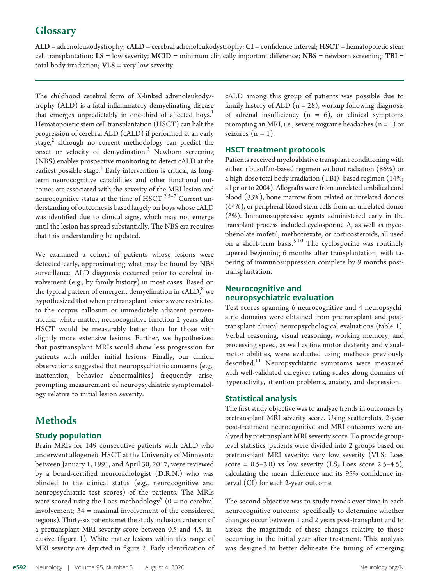## **Glossary**

 $ALD =$  adrenoleukodystrophy;  $CALD =$  cerebral adrenoleukodystrophy;  $CI =$  confidence interval;  $HSCT =$  hematopoietic stem cell transplantation;  $LS = low$  severity;  $MCID =$  minimum clinically important difference;  $NBS =$  newborn screening;  $TBI =$ total body irradiation;  $VIS = very$  low severity.

The childhood cerebral form of X-linked adrenoleukodystrophy (ALD) is a fatal inflammatory demyelinating disease that emerges unpredictably in one-third of affected boys.<sup>1</sup> Hematopoietic stem cell transplantation (HSCT) can halt the progression of cerebral ALD (cALD) if performed at an early stage, $^2$  although no current methodology can predict the onset or velocity of demyelination.<sup>3</sup> Newborn screening (NBS) enables prospective monitoring to detect cALD at the earliest possible stage.<sup>4</sup> Early intervention is critical, as longterm neurocognitive capabilities and other functional outcomes are associated with the severity of the MRI lesion and neurocognitive status at the time of HSCT. $2,5-7$  Current understanding of outcomes is based largely on boys whose cALD was identified due to clinical signs, which may not emerge until the lesion has spread substantially. The NBS era requires that this understanding be updated.

We examined a cohort of patients whose lesions were detected early, approximating what may be found by NBS surveillance. ALD diagnosis occurred prior to cerebral involvement (e.g., by family history) in most cases. Based on the typical pattern of emergent demyelination in  $\text{cALD}$ , we hypothesized that when pretransplant lesions were restricted to the corpus callosum or immediately adjacent periventricular white matter, neurocognitive function 2 years after HSCT would be measurably better than for those with slightly more extensive lesions. Further, we hypothesized that posttransplant MRIs would show less progression for patients with milder initial lesions. Finally, our clinical observations suggested that neuropsychiatric concerns (e.g., inattention, behavior abnormalities) frequently arise, prompting measurement of neuropsychiatric symptomatology relative to initial lesion severity.

## **Methods**

#### Study population

Brain MRIs for 149 consecutive patients with cALD who underwent allogeneic HSCT at the University of Minnesota between January 1, 1991, and April 30, 2017, were reviewed by a board-certified neuroradiologist (D.R.N.) who was blinded to the clinical status (e.g., neurocognitive and neuropsychiatric test scores) of the patients. The MRIs were scored using the Loes methodology<sup>9</sup> ( $0 =$  no cerebral involvement; 34 = maximal involvement of the considered regions). Thirty-six patients met the study inclusion criterion of a pretransplant MRI severity score between 0.5 and 4.5, inclusive (figure 1). White matter lesions within this range of MRI severity are depicted in figure 2. Early identification of cALD among this group of patients was possible due to family history of ALD  $(n = 28)$ , workup following diagnosis of adrenal insufficiency  $(n = 6)$ , or clinical symptoms prompting an MRI, i.e., severe migraine headaches  $(n = 1)$  or seizures  $(n = 1)$ .

#### HSCT treatment protocols

Patients received myeloablative transplant conditioning with either a busulfan-based regimen without radiation (86%) or a high-dose total body irradiation (TBI)–based regimen (14%; all prior to 2004). Allografts were from unrelated umbilical cord blood (33%), bone marrow from related or unrelated donors (64%), or peripheral blood stem cells from an unrelated donor (3%). Immunosuppressive agents administered early in the transplant process included cyclosporine A, as well as mycophenolate mofetil, methotrexate, or corticosteroids, all used on a short-term basis. $5,10$  The cyclosporine was routinely tapered beginning 6 months after transplantation, with tapering of immunosuppression complete by 9 months posttransplantation.

#### Neurocognitive and neuropsychiatric evaluation

Test scores spanning 6 neurocognitive and 4 neuropsychiatric domains were obtained from pretransplant and posttransplant clinical neuropsychological evaluations (table 1). Verbal reasoning, visual reasoning, working memory, and processing speed, as well as fine motor dexterity and visualmotor abilities, were evaluated using methods previously described.<sup>11</sup> Neuropsychiatric symptoms were measured with well-validated caregiver rating scales along domains of hyperactivity, attention problems, anxiety, and depression.

#### Statistical analysis

The first study objective was to analyze trends in outcomes by pretransplant MRI severity score. Using scatterplots, 2-year post-treatment neurocognitive and MRI outcomes were analyzed by pretransplant MRI severity score. To provide grouplevel statistics, patients were divided into 2 groups based on pretransplant MRI severity: very low severity (VLS; Loes score =  $0.5-2.0$ ) vs low severity (LS; Loes score 2.5-4.5), calculating the mean difference and its 95% confidence interval (CI) for each 2-year outcome.

The second objective was to study trends over time in each neurocognitive outcome, specifically to determine whether changes occur between 1 and 2 years post-transplant and to assess the magnitude of these changes relative to those occurring in the initial year after treatment. This analysis was designed to better delineate the timing of emerging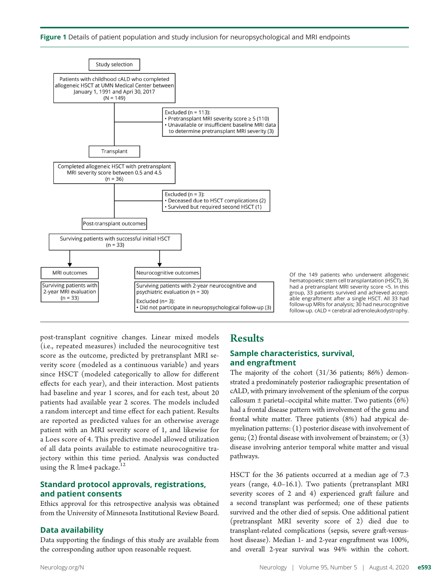



Of the 149 patients who underwent allogeneic hematopoietic stem cell transplantation (HSCT), 36 had a pretransplant MRI severity score <5. In this group, 33 patients survived and achieved acceptable engraftment after a single HSCT. All 33 had follow-up MRIs for analysis;  $3\bar{0}$  had neurocognitive follow-up. cALD = cerebral adrenoleukodystrophy.

post-transplant cognitive changes. Linear mixed models (i.e., repeated measures) included the neurocognitive test score as the outcome, predicted by pretransplant MRI severity score (modeled as a continuous variable) and years since HSCT (modeled categorically to allow for different effects for each year), and their interaction. Most patients had baseline and year 1 scores, and for each test, about 20 patients had available year 2 scores. The models included a random intercept and time effect for each patient. Results are reported as predicted values for an otherwise average patient with an MRI severity score of 1, and likewise for a Loes score of 4. This predictive model allowed utilization of all data points available to estimate neurocognitive trajectory within this time period. Analysis was conducted using the R lme4 package.<sup>12</sup>

#### Standard protocol approvals, registrations, and patient consents

Ethics approval for this retrospective analysis was obtained from the University of Minnesota Institutional Review Board.

#### Data availability

Data supporting the findings of this study are available from the corresponding author upon reasonable request.

## **Results**

#### Sample characteristics, survival, and engraftment

The majority of the cohort (31/36 patients; 86%) demonstrated a predominately posterior radiographic presentation of cALD, with primary involvement of the splenium of the corpus callosum  $\pm$  parietal–occipital white matter. Two patients (6%) had a frontal disease pattern with involvement of the genu and frontal white matter. Three patients (8%) had atypical demyelination patterns: (1) posterior disease with involvement of genu; (2) frontal disease with involvement of brainstem; or (3) disease involving anterior temporal white matter and visual pathways.

HSCT for the 36 patients occurred at a median age of 7.3 years (range, 4.0–16.1). Two patients (pretransplant MRI severity scores of 2 and 4) experienced graft failure and a second transplant was performed; one of these patients survived and the other died of sepsis. One additional patient (pretransplant MRI severity score of 2) died due to transplant-related complications (sepsis, severe graft-versushost disease). Median 1- and 2-year engraftment was 100%, and overall 2-year survival was 94% within the cohort.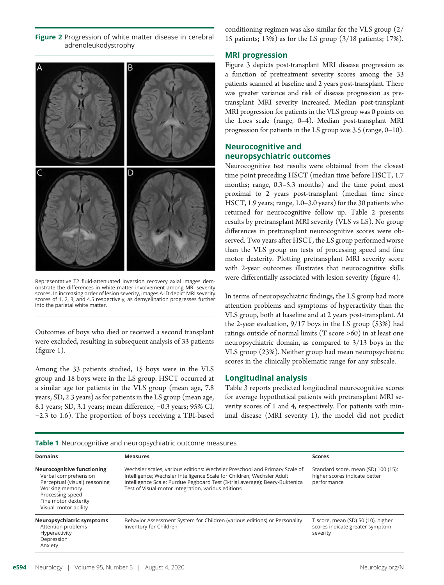Figure 2 Progression of white matter disease in cerebral adrenoleukodystrophy



Representative T2 fluid-attenuated inversion recovery axial images demonstrate the differences in white matter involvement among MRI severity scores. In increasing order of lesion severity, images A–D depict MRI severity scores of 1, 2, 3, and 4.5 respectively, as demyelination progresses further into the parietal white matter.

Outcomes of boys who died or received a second transplant were excluded, resulting in subsequent analysis of 33 patients (figure 1).

Among the 33 patients studied, 15 boys were in the VLS group and 18 boys were in the LS group. HSCT occurred at a similar age for patients in the VLS group (mean age, 7.8 years; SD, 2.3 years) as for patients in the LS group (mean age, 8.1 years; SD, 3.1 years; mean difference, −0.3 years; 95% CI, −2.3 to 1.6). The proportion of boys receiving a TBI-based conditioning regimen was also similar for the VLS group (2/ 15 patients; 13%) as for the LS group (3/18 patients; 17%).

#### MRI progression

Figure 3 depicts post-transplant MRI disease progression as a function of pretreatment severity scores among the 33 patients scanned at baseline and 2 years post-transplant. There was greater variance and risk of disease progression as pretransplant MRI severity increased. Median post-transplant MRI progression for patients in the VLS group was 0 points on the Loes scale (range, 0–4). Median post-transplant MRI progression for patients in the LS group was 3.5 (range, 0–10).

#### Neurocognitive and neuropsychiatric outcomes

Neurocognitive test results were obtained from the closest time point preceding HSCT (median time before HSCT, 1.7 months; range, 0.3–5.3 months) and the time point most proximal to 2 years post-transplant (median time since HSCT, 1.9 years; range, 1.0–3.0 years) for the 30 patients who returned for neurocognitive follow up. Table 2 presents results by pretransplant MRI severity (VLS vs LS). No group differences in pretransplant neurocognitive scores were observed. Two years after HSCT, the LS group performed worse than the VLS group on tests of processing speed and fine motor dexterity. Plotting pretransplant MRI severity score with 2-year outcomes illustrates that neurocognitive skills were differentially associated with lesion severity (figure 4).

In terms of neuropsychiatric findings, the LS group had more attention problems and symptoms of hyperactivity than the VLS group, both at baseline and at 2 years post-transplant. At the 2-year evaluation, 9/17 boys in the LS group (53%) had ratings outside of normal limits (T score >60) in at least one neuropsychiatric domain, as compared to 3/13 boys in the VLS group (23%). Neither group had mean neuropsychiatric scores in the clinically problematic range for any subscale.

#### Longitudinal analysis

Table 3 reports predicted longitudinal neurocognitive scores for average hypothetical patients with pretransplant MRI severity scores of 1 and 4, respectively. For patients with minimal disease (MRI severity 1), the model did not predict

| Table 1 Neurocognitive and neuropsychiatric outcome measures |  |  |
|--------------------------------------------------------------|--|--|
|                                                              |  |  |

| <b>Domains</b>                                                                                                                                                                   | <b>Measures</b>                                                                                                                                                                                                                                                                           | <b>Scores</b>                                                                       |
|----------------------------------------------------------------------------------------------------------------------------------------------------------------------------------|-------------------------------------------------------------------------------------------------------------------------------------------------------------------------------------------------------------------------------------------------------------------------------------------|-------------------------------------------------------------------------------------|
| <b>Neurocognitive functioning</b><br>Verbal comprehension<br>Perceptual (visual) reasoning<br>Working memory<br>Processing speed<br>Fine motor dexterity<br>Visual-motor ability | Wechsler scales, various editions: Wechsler Preschool and Primary Scale of<br>Intelligence; Wechsler Intelligence Scale for Children; Wechsler Adult<br>Intelligence Scale; Purdue Pegboard Test (3-trial average); Beery-Buktenica<br>Test of Visual-motor Integration, various editions | Standard score, mean (SD) 100 (15);<br>higher scores indicate better<br>performance |
| Neuropsychiatric symptoms<br>Attention problems<br>Hyperactivity<br>Depression<br>Anxiety                                                                                        | Behavior Assessment System for Children (various editions) or Personality<br>Inventory for Children                                                                                                                                                                                       | T score, mean (SD) 50 (10), higher<br>scores indicate greater symptom<br>severity   |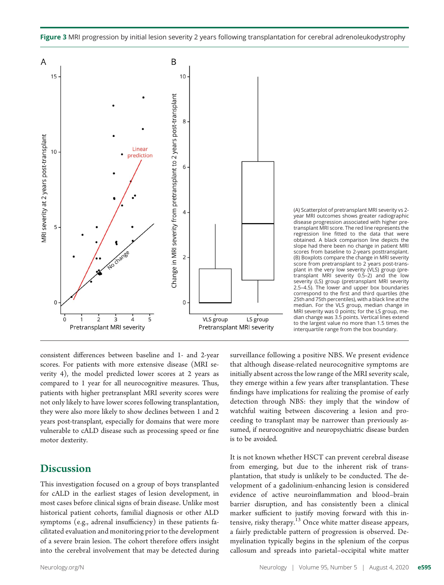



(A) Scatterplot of pretransplant MRI severity vs 2 year MRI outcomes shows greater radiographic disease progression associated with higher pretransplant MRI score. The red line represents the regression line fitted to the data that were obtained. A black comparison line depicts the slope had there been no change in patient MRI scores from baseline to 2-years posttransplant. (B) Boxplots compare the change in MRI severity score from pretransplant to 2 years post-transplant in the very low severity (VLS) group (pre-transplant MRI severity 0.5–2) and the low severity (LS) group (pretransplant MRI severity 2.5–4.5). The lower and upper box boundaries correspond to the first and third quartiles (the 25th and 75th percentiles), with a black line at the median. For the VLS group, median change in MRI severity was 0 points; for the LS group, median change was 3.5 points. Vertical lines extend to the largest value no more than 1.5 times the interquartile range from the box boundary.

consistent differences between baseline and 1- and 2-year scores. For patients with more extensive disease (MRI severity 4), the model predicted lower scores at 2 years as compared to 1 year for all neurocognitive measures. Thus, patients with higher pretransplant MRI severity scores were not only likely to have lower scores following transplantation, they were also more likely to show declines between 1 and 2 years post-transplant, especially for domains that were more vulnerable to cALD disease such as processing speed or fine motor dexterity.

### **Discussion**

This investigation focused on a group of boys transplanted for cALD in the earliest stages of lesion development, in most cases before clinical signs of brain disease. Unlike most historical patient cohorts, familial diagnosis or other ALD symptoms (e.g., adrenal insufficiency) in these patients facilitated evaluation and monitoring prior to the development of a severe brain lesion. The cohort therefore offers insight into the cerebral involvement that may be detected during surveillance following a positive NBS. We present evidence that although disease-related neurocognitive symptoms are initially absent across the low range of the MRI severity scale, they emerge within a few years after transplantation. These findings have implications for realizing the promise of early detection through NBS: they imply that the window of watchful waiting between discovering a lesion and proceeding to transplant may be narrower than previously assumed, if neurocognitive and neuropsychiatric disease burden is to be avoided.

It is not known whether HSCT can prevent cerebral disease from emerging, but due to the inherent risk of transplantation, that study is unlikely to be conducted. The development of a gadolinium-enhancing lesion is considered evidence of active neuroinflammation and blood–brain barrier disruption, and has consistently been a clinical marker sufficient to justify moving forward with this intensive, risky therapy.<sup>13</sup> Once white matter disease appears, a fairly predictable pattern of progression is observed. Demyelination typically begins in the splenium of the corpus callosum and spreads into parietal–occipital white matter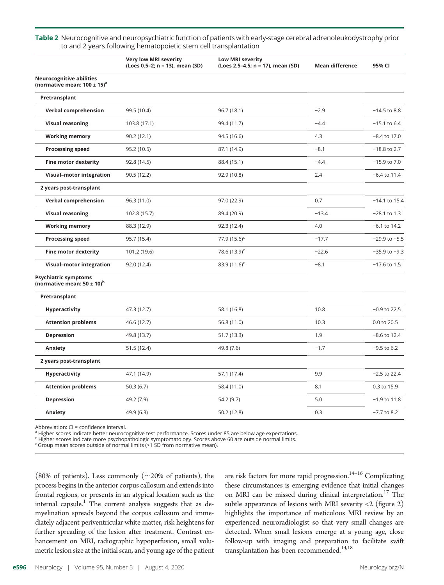Table 2 Neurocognitive and neuropsychiatric function of patients with early-stage cerebral adrenoleukodystrophy prior to and 2 years following hematopoietic stem cell transplantation

|                                                                               | <b>Very low MRI severity</b><br>(Loes 0.5-2; n = 13), mean (SD) | <b>Low MRI severity</b><br>(Loes 2.5-4.5; n = 17), mean (SD) | <b>Mean difference</b> | 95% CI            |
|-------------------------------------------------------------------------------|-----------------------------------------------------------------|--------------------------------------------------------------|------------------------|-------------------|
| <b>Neurocognitive abilities</b><br>(normative mean: $100 \pm 15$ <sup>a</sup> |                                                                 |                                                              |                        |                   |
| Pretransplant                                                                 |                                                                 |                                                              |                        |                   |
| <b>Verbal comprehension</b>                                                   | 99.5 (10.4)                                                     | 96.7 (18.1)                                                  | $-2.9$                 | $-14.5$ to 8.8    |
| <b>Visual reasoning</b>                                                       | 103.8 (17.1)                                                    | 99.4 (11.7)                                                  | $-4.4$                 | $-15.1$ to 6.4    |
| <b>Working memory</b>                                                         | 90.2 (12.1)                                                     | 94.5 (16.6)                                                  | 4.3                    | $-8.4$ to 17.0    |
| <b>Processing speed</b>                                                       | 95.2 (10.5)                                                     | 87.1 (14.9)                                                  | $-8.1$                 | $-18.8$ to 2.7    |
| <b>Fine motor dexterity</b>                                                   | 92.8 (14.5)                                                     | 88.4 (15.1)                                                  | $-4.4$                 | $-15.9$ to $7.0$  |
| Visual-motor integration                                                      | 90.5 (12.2)                                                     | 92.9 (10.8)                                                  | 2.4                    | $-6.4$ to 11.4    |
| 2 years post-transplant                                                       |                                                                 |                                                              |                        |                   |
| <b>Verbal comprehension</b>                                                   | 96.3 (11.0)                                                     | 97.0 (22.9)                                                  | 0.7                    | $-14.1$ to 15.4   |
| <b>Visual reasoning</b>                                                       | 102.8 (15.7)                                                    | 89.4 (20.9)                                                  | $-13.4$                | $-28.1$ to 1.3    |
| <b>Working memory</b>                                                         | 88.3 (12.9)                                                     | 92.3 (12.4)                                                  | 4.0                    | $-6.1$ to $14.2$  |
| <b>Processing speed</b>                                                       | 95.7 (15.4)                                                     | 77.9 $(15.6)^c$                                              | $-17.7$                | $-29.9$ to $-5.5$ |
| <b>Fine motor dexterity</b>                                                   | 101.2 (19.6)                                                    | 78.6 $(13.9)^c$                                              | $-22.6$                | $-35.9$ to $-9.3$ |
| <b>Visual-motor integration</b>                                               | 92.0 (12.4)                                                     | 83.9 $(11.6)^c$                                              | $-8.1$                 | $-17.6$ to 1.5    |
| <b>Psychiatric symptoms</b><br>(normative mean: $50 \pm 10)^b$                |                                                                 |                                                              |                        |                   |
| Pretransplant                                                                 |                                                                 |                                                              |                        |                   |
| <b>Hyperactivity</b>                                                          | 47.3 (12.7)                                                     | 58.1 (16.8)                                                  | 10.8                   | $-0.9$ to 22.5    |
| <b>Attention problems</b>                                                     | 46.6 (12.7)                                                     | 56.8 (11.0)                                                  | 10.3                   | 0.0 to 20.5       |
| Depression                                                                    | 49.8 (13.7)                                                     | 51.7 (13.3)                                                  | 1.9                    | $-8.6$ to 12.4    |
| Anxiety                                                                       | 51.5 (12.4)                                                     | 49.8 (7.6)                                                   | $-1.7$                 | $-9.5$ to 6.2     |
| 2 years post-transplant                                                       |                                                                 |                                                              |                        |                   |
| Hyperactivity                                                                 | 47.1 (14.9)                                                     | 57.1 (17.4)                                                  | 9.9                    | $-2.5$ to 22.4    |
| <b>Attention problems</b>                                                     | 50.3(6.7)                                                       | 58.4 (11.0)                                                  | 8.1                    | 0.3 to 15.9       |
| <b>Depression</b>                                                             | 49.2 (7.9)                                                      | 54.2 (9.7)                                                   | 5.0                    | $-1.9$ to 11.8    |
| Anxiety                                                                       | 49.9 (6.3)                                                      | 50.2 (12.8)                                                  | 0.3                    | $-7.7$ to 8.2     |
|                                                                               |                                                                 |                                                              |                        |                   |

Abbreviation: CI = confidence interval.

ª Higher scores indicate better neurocognitive test performance. Scores under 85 are below age expectations.<br><sup>b</sup> Higher scores indicate more psychopathologic symptomatology. Scores above 60 are outside normal limits.<br><sup>c</sup> G

(80% of patients). Less commonly ( $\sim$ 20% of patients), the process begins in the anterior corpus callosum and extends into frontal regions, or presents in an atypical location such as the internal capsule.<sup>1</sup> The current analysis suggests that as demyelination spreads beyond the corpus callosum and immediately adjacent periventricular white matter, risk heightens for further spreading of the lesion after treatment. Contrast enhancement on MRI, radiographic hypoperfusion, small volumetric lesion size at the initial scan, and young age of the patient are risk factors for more rapid progression.  $\real^{14-16}$  Complicating these circumstances is emerging evidence that initial changes on MRI can be missed during clinical interpretation.<sup>17</sup> The subtle appearance of lesions with MRI severity  $\langle 2 \rangle$  (figure 2) highlights the importance of meticulous MRI review by an experienced neuroradiologist so that very small changes are detected. When small lesions emerge at a young age, close follow-up with imaging and preparation to facilitate swift transplantation has been recommended.<sup>14,18</sup>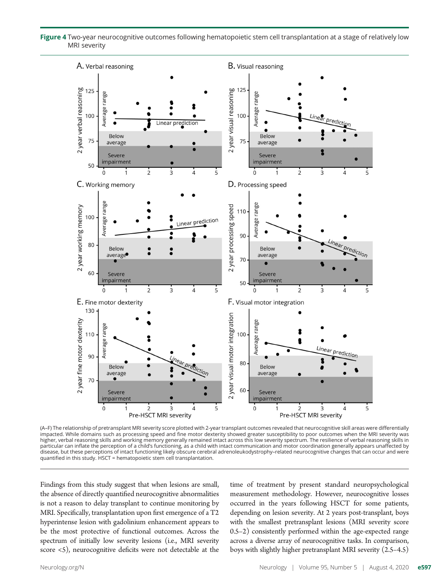Figure 4 Two-year neurocognitive outcomes following hematopoietic stem cell transplantation at a stage of relatively low MRI severity



(A–F) The relationship of pretransplant MRI severity score plotted with 2-year transplant outcomes revealed that neurocognitive skill areas were differentially impacted. While domains such as processing speed and fine motor dexterity showed greater susceptibility to poor outcomes when the MRI severity was higher, verbal reasoning skills and working memory generally remained intact across this low severity spectrum. The resilience of verbal reasoning skills in particular can inflate the perception of a child's functioning, as a child with intact communication and motor coordination generally appears unaffected by disease, but these perceptions of intact functioning likely obscure cerebral adrenoleukodystrophy–related neurocognitive changes that can occur and were quantified in this study. HSCT = hematopoietic stem cell transplantation.

Findings from this study suggest that when lesions are small, the absence of directly quantified neurocognitive abnormalities is not a reason to delay transplant to continue monitoring by MRI. Specifically, transplantation upon first emergence of a T2 hyperintense lesion with gadolinium enhancement appears to be the most protective of functional outcomes. Across the spectrum of initially low severity lesions (i.e., MRI severity score <5), neurocognitive deficits were not detectable at the time of treatment by present standard neuropsychological measurement methodology. However, neurocognitive losses occurred in the years following HSCT for some patients, depending on lesion severity. At 2 years post-transplant, boys with the smallest pretransplant lesions (MRI severity score 0.5–2) consistently performed within the age-expected range across a diverse array of neurocognitive tasks. In comparison, boys with slightly higher pretransplant MRI severity (2.5–4.5)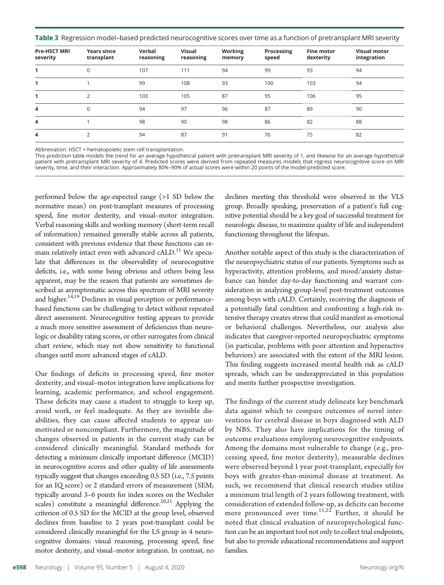Table 3 Regression model-based predicted neurocognitive scores over time as a function of pretransplant MRI severity

| <b>Pre-HSCT MRI</b><br>severity | <b>Years since</b><br>transplant | Verbal<br>reasoning | <b>Visual</b><br>reasoning | Working<br>memory | Processing<br>speed | <b>Fine motor</b><br>dexterity | <b>Visual motor</b><br>integration |
|---------------------------------|----------------------------------|---------------------|----------------------------|-------------------|---------------------|--------------------------------|------------------------------------|
|                                 | $\mathbf 0$                      | 107                 | 111                        | 94                | 99                  | 93                             | 94                                 |
|                                 |                                  | 99                  | 108                        | 93                | 100                 | 103                            | 94                                 |
|                                 | $\overline{2}$                   | 103                 | 105                        | 87                | 95                  | 106                            | 95                                 |
| 4                               | $\mathbf 0$                      | 94                  | 97                         | 96                | 87                  | 89                             | 90                                 |
| 4                               |                                  | 98                  | 90                         | 98                | 86                  | 82                             | 88                                 |
| 4                               | $\overline{2}$                   | 94                  | 87                         | 91                | 76                  | 75                             | 82                                 |

Abbreviation: HSCT = hematopoietic stem cell transplantation.

This prediction table models the trend for an average hypothetical patient with pretransplant MRI severity of 1, and likewise for an average hypothetical patient with pretransplant MRI severity of 4. Predicted scores were derived from repeated measures models that regress neurocognitive score on MRI severity, time, and their interaction. Approximately 80%–90% of actual scores were within 20 points of the model-predicted score.

performed below the age-expected range (>1 SD below the normative mean) on post-transplant measures of processing speed, fine motor dexterity, and visual–motor integration. Verbal reasoning skills and working memory (short-term recall of information) remained generally stable across all patients, consistent with previous evidence that these functions can remain relatively intact even with advanced cALD.<sup>11</sup> We speculate that differences in the observability of neurocognitive deficits, i.e., with some being obvious and others being less apparent, may be the reason that patients are sometimes described as asymptomatic across this spectrum of MRI severity and higher.<sup>14,19</sup> Declines in visual perception or performancebased functions can be challenging to detect without repeated direct assessment. Neurocognitive testing appears to provide a much more sensitive assessment of deficiencies than neurologic or disability rating scores, or other surrogates from clinical chart review, which may not show sensitivity to functional changes until more advanced stages of cALD.

Our findings of deficits in processing speed, fine motor dexterity, and visual–motor integration have implications for learning, academic performance, and school engagement. These deficits may cause a student to struggle to keep up, avoid work, or feel inadequate. As they are invisible disabilities, they can cause affected students to appear unmotivated or noncompliant. Furthermore, the magnitude of changes observed in patients in the current study can be considered clinically meaningful. Standard methods for detecting a minimum clinically important difference (MCID) in neurocognitive scores and other quality of life assessments typically suggest that changes exceeding 0.5 SD (i.e., 7.5 points for an IQ score) or 2 standard errors of measurement (SEM; typically around 3–6 points for index scores on the Wechsler scales) constitute a meaningful difference.<sup>20,21</sup> Applying the criterion of 0.5 SD for the MCID at the group level, observed declines from baseline to 2 years post-transplant could be considered clinically meaningful for the LS group in 4 neurocognitive domains: visual reasoning, processing speed, fine motor dexterity, and visual–motor integration. In contrast, no

declines meeting this threshold were observed in the VLS group. Broadly speaking, preservation of a patient's full cognitive potential should be a key goal of successful treatment for neurologic disease, to maximize quality of life and independent functioning throughout the lifespan.

Another notable aspect of this study is the characterization of the neuropsychiatric status of our patients. Symptoms such as hyperactivity, attention problems, and mood/anxiety disturbance can hinder day-to-day functioning and warrant consideration in analyzing group-level post-treatment outcomes among boys with cALD. Certainly, receiving the diagnosis of a potentially fatal condition and confronting a high-risk intensive therapy creates stress that could manifest as emotional or behavioral challenges. Nevertheless, our analysis also indicates that caregiver-reported neuropsychiatric symptoms (in particular, problems with poor attention and hyperactive behaviors) are associated with the extent of the MRI lesion. This finding suggests increased mental health risk as cALD spreads, which can be underappreciated in this population and merits further prospective investigation.

The findings of the current study delineate key benchmark data against which to compare outcomes of novel interventions for cerebral disease in boys diagnosed with ALD by NBS. They also have implications for the timing of outcome evaluations employing neurocognitive endpoints. Among the domains most vulnerable to change (e.g., processing speed, fine motor dexterity), measurable declines were observed beyond 1 year post-transplant, especially for boys with greater-than-minimal disease at treatment. As such, we recommend that clinical research studies utilize a minimum trial length of 2 years following treatment, with consideration of extended follow-up, as deficits can become more pronounced over time.<sup>11,22</sup> Further, it should be noted that clinical evaluation of neuropsychological function can be an important tool not only to collect trial endpoints, but also to provide educational recommendations and support families.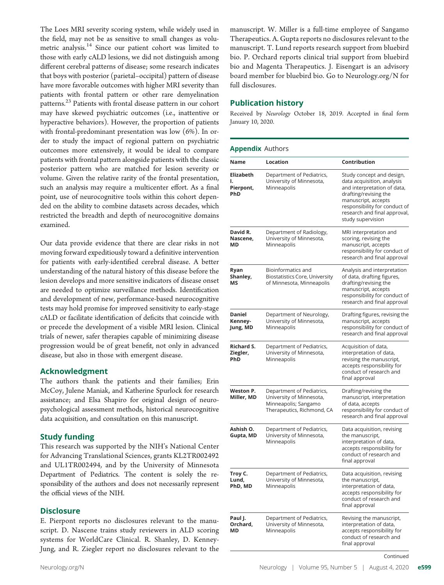The Loes MRI severity scoring system, while widely used in the field, may not be as sensitive to small changes as volumetric analysis.<sup>14</sup> Since our patient cohort was limited to those with early cALD lesions, we did not distinguish among different cerebral patterns of disease; some research indicates that boys with posterior (parietal–occipital) pattern of disease have more favorable outcomes with higher MRI severity than patients with frontal pattern or other rare demyelination patterns.<sup>23</sup> Patients with frontal disease pattern in our cohort may have skewed psychiatric outcomes (i.e., inattentive or hyperactive behaviors). However, the proportion of patients with frontal-predominant presentation was low (6%). In order to study the impact of regional pattern on psychiatric outcomes more extensively, it would be ideal to compare patients with frontal pattern alongside patients with the classic posterior pattern who are matched for lesion severity or volume. Given the relative rarity of the frontal presentation, such an analysis may require a multicenter effort. As a final point, use of neurocognitive tools within this cohort depended on the ability to combine datasets across decades, which restricted the breadth and depth of neurocognitive domains examined.

Our data provide evidence that there are clear risks in not moving forward expeditiously toward a definitive intervention for patients with early-identified cerebral disease. A better understanding of the natural history of this disease before the lesion develops and more sensitive indicators of disease onset are needed to optimize surveillance methods. Identification and development of new, performance-based neurocognitive tests may hold promise for improved sensitivity to early-stage cALD or facilitate identification of deficits that coincide with or precede the development of a visible MRI lesion. Clinical trials of newer, safer therapies capable of minimizing disease progression would be of great benefit, not only in advanced disease, but also in those with emergent disease.

#### Acknowledgment

The authors thank the patients and their families; Erin McCoy, Julene Maniak, and Katherine Spurlock for research assistance; and Elsa Shapiro for original design of neuropsychological assessment methods, historical neurocognitive data acquisition, and consultation on this manuscript.

#### Study funding

This research was supported by the NIH's National Center for Advancing Translational Sciences, grants KL2TR002492 and UL1TR002494, and by the University of Minnesota Department of Pediatrics. The content is solely the responsibility of the authors and does not necessarily represent the official views of the NIH.

#### **Disclosure**

E. Pierpont reports no disclosures relevant to the manuscript. D. Nascene trains study reviewers in ALD scoring systems for WorldCare Clinical. R. Shanley, D. Kenney-Jung, and R. Ziegler report no disclosures relevant to the

manuscript. W. Miller is a full-time employee of Sangamo Therapeutics. A. Gupta reports no disclosures relevant to the manuscript. T. Lund reports research support from bluebird bio. P. Orchard reports clinical trial support from bluebird bio and Magenta Therapeutics. J. Eisengart is an advisory board member for bluebird bio. Go to [Neurology.org/N](https://n.neurology.org/lookup/doi/10.1212/WNL.0000000000009929) for full disclosures.

#### Publication history

Received by Neurology October 18, 2019. Accepted in final form January 10, 2020.

#### Appendix Authors

| Name                                       | Location                                                                                                    | Contribution                                                                                                                                                                                                                 |
|--------------------------------------------|-------------------------------------------------------------------------------------------------------------|------------------------------------------------------------------------------------------------------------------------------------------------------------------------------------------------------------------------------|
| <b>Elizabeth</b><br>ı.<br>Pierpont,<br>PhD | Department of Pediatrics,<br>University of Minnesota,<br>Minneapolis                                        | Study concept and design,<br>data acquisition, analysis<br>and interpretation of data,<br>drafting/revising the<br>manuscript, accepts<br>responsibility for conduct of<br>research and final approval,<br>study supervision |
| David R.<br>Nascene,<br>MD                 | Department of Radiology,<br>University of Minnesota,<br>Minneapolis                                         | MRI interpretation and<br>scoring, revising the<br>manuscript, accepts<br>responsibility for conduct of<br>research and final approval                                                                                       |
| Ryan<br>Shanley,<br>ΜS                     | Bioinformatics and<br>Biostatistics Core, University<br>of Minnesota, Minneapolis                           | Analysis and interpretation<br>of data, drafting figures,<br>drafting/revising the<br>manuscript, accepts<br>responsibility for conduct of<br>research and final approval                                                    |
| Daniel<br>Kenney-<br>Jung, MD              | Department of Neurology,<br>University of Minnesota,<br>Minneapolis                                         | Drafting figures, revising the<br>manuscript, accepts<br>responsibility for conduct of<br>research and final approval                                                                                                        |
| Richard S.<br>Ziegler,<br>PhD              | Department of Pediatrics,<br>University of Minnesota,<br>Minneapolis                                        | Acquisition of data,<br>interpretation of data,<br>revising the manuscript,<br>accepts responsibility for<br>conduct of research and<br>final approval                                                                       |
| Weston P.<br>Miller, MD                    | Department of Pediatrics,<br>University of Minnesota,<br>Minneapolis; Sangamo<br>Therapeutics, Richmond, CA | Drafting/revising the<br>manuscript, interpretation<br>of data, accepts<br>responsibility for conduct of<br>research and final approval                                                                                      |
| Ashish O.<br>Gupta, MD                     | Department of Pediatrics,<br>University of Minnesota,<br>Minneapolis                                        | Data acquisition, revising<br>the manuscript,<br>interpretation of data,<br>accepts responsibility for<br>conduct of research and<br>final approval                                                                          |
| Troy C.<br>Lund,<br>PhD, MD                | Department of Pediatrics,<br>University of Minnesota,<br>Minneapolis                                        | Data acquisition, revising<br>the manuscript,<br>interpretation of data,<br>accepts responsibility for<br>conduct of research and<br>final approval                                                                          |
| Paul J.<br>Orchard,<br>MD                  | Department of Pediatrics,<br>University of Minnesota,<br>Minneapolis                                        | Revising the manuscript,<br>interpretation of data,<br>accepts responsibility for<br>conduct of research and<br>final approval                                                                                               |

Continued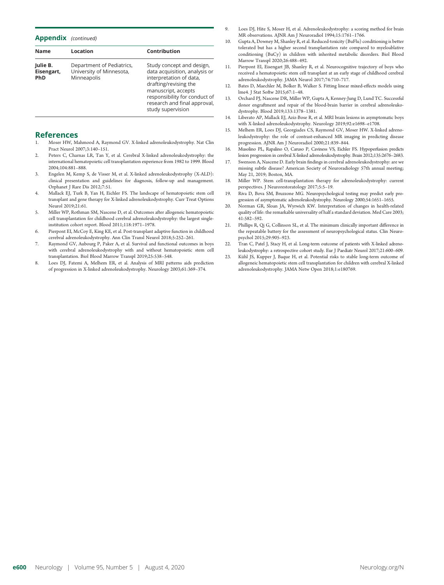| <b>Appendix</b> | (continued) |
|-----------------|-------------|
|                 |             |

| <b>Name</b>                          | Location                                                             | Contribution                                                                                                                                                                                                                |
|--------------------------------------|----------------------------------------------------------------------|-----------------------------------------------------------------------------------------------------------------------------------------------------------------------------------------------------------------------------|
| Julie B.<br>Eisengart,<br><b>PhD</b> | Department of Pediatrics,<br>University of Minnesota,<br>Minneapolis | Study concept and design,<br>data acquisition, analysis or<br>interpretation of data,<br>drafting/revising the<br>manuscript, accepts<br>responsibility for conduct of<br>research and final approval,<br>study supervision |

## References

- 1. Moser HW, Mahmood A, Raymond GV. X-linked adrenoleukodystrophy. Nat Clin Pract Neurol 2007;3:140–151.
- 2. Peters C, Charnas LR, Tan Y, et al. Cerebral X-linked adrenoleukodystrophy: the international hematopoietic cell transplantation experience from 1982 to 1999. Blood 2004;104:881–888.
- 3. Engelen M, Kemp S, de Visser M, et al. X-linked adrenoleukodystrophy (X-ALD): clinical presentation and guidelines for diagnosis, follow-up and management. Orphanet J Rare Dis 2012;7:51.
- 4. Mallack EJ, Turk B, Yan H, Eichler FS. The landscape of hematopoietic stem cell transplant and gene therapy for X-linked adrenoleukodystrophy. Curr Treat Options Neurol 2019;21:61.
- 5. Miller WP, Rothman SM, Nascene D, et al. Outcomes after allogeneic hematopoietic cell transplantation for childhood cerebral adrenoleukodystrophy: the largest singleinstitution cohort report. Blood 2011;118:1971–1978.
- 6. Pierpont EI, McCoy E, King KE, et al. Post-transplant adaptive function in childhood cerebral adrenoleukodystrophy. Ann Clin Transl Neurol 2018;5:252–261.
- 7. Raymond GV, Aubourg P, Paker A, et al. Survival and functional outcomes in boys with cerebral adrenoleukodystrophy with and without hematopoietic stem cell transplantation. Biol Blood Marrow Transpl 2019;25:538–548.
- 8. Loes DJ, Fatemi A, Melhem ER, et al. Analysis of MRI patterns aids prediction of progression in X-linked adrenoleukodystrophy. Neurology 2003;61:369–374.
- Loes DJ, Hite S, Moser H, et al. Adrenoleukodystrophy: a scoring method for brain MR observations. AJNR Am J Neuroradiol 1994;15:1761–1766.
- 10. Gupta A, Downey M, Shanley R, et al. Reduced-toxicity (BuFlu) conditioning is better tolerated but has a higher second transplantation rate compared to myeloablative conditioning (BuCy) in children with inherited metabolic disorders. Biol Blood Marrow Transpl 2020;26:488–492.
- 11. Pierpont EI, Eisengart JB, Shanley R, et al. Neurocognitive trajectory of boys who received a hematopoietic stem cell transplant at an early stage of childhood cerebral adrenoleukodystrophy. JAMA Neurol 2017;74:710–717.
- 12. Bates D, Maechler M, Bolker B, Walker S. Fitting linear mixed-effects models using lme4. J Stat Softw 2015;67:1–48.
- 13. Orchard PJ, Nascene DR, Miller WP, Gupta A, Kenney-Jung D, Lund TC. Successful donor engraftment and repair of the blood-brain barrier in cerebral adrenoleukodystrophy. Blood 2019;133:1378–1381.
- 14. Liberato AP, Mallack EJ, Aziz-Bose R, et al. MRI brain lesions in asymptomatic boys with X-linked adrenoleukodystrophy. Neurology 2019;92:e1698–e1708.
- 15. Melhem ER, Loes DJ, Georgiades CS, Raymond GV, Moser HW. X-linked adrenoleukodystrophy: the role of contrast-enhanced MR imaging in predicting disease progression. AJNR Am J Neuroradiol 2000;21:839–844.
- 16. Musolino PL, Rapalino O, Caruso P, Caviness VS, Eichler FS. Hypoperfusion predicts lesion progression in cerebral X-linked adrenoleukodystrophy. Brain 2012;135:2676–2683.
- 17. Swenson A, Nascene D. Early brain findings in cerebral adrenoleukodystrophy: are we missing subtle disease? American Society of Neuroradiology 57th annual meeting; May 21, 2019; Boston, MA.
- 18. Miller WP. Stem cell-transplantation therapy for adrenoleukodystrophy: current perspectives. J Neurorestoratology 2017;5:5–19.
- 19. Riva D, Bova SM, Bruzzone MG. Neuropsychological testing may predict early progression of asymptomatic adrenoleukodystrophy. Neurology 2000;54:1651–1655.
- 20. Norman GR, Sloan JA, Wyrwich KW. Interpretation of changes in health-related quality of life: the remarkable universality of half a standard deviation. Med Care 2003; 41:582–592.
- 21. Phillips R, Qi G, Collinson SL, et al. The minimum clinically important difference in the repeatable battery for the assessment of neuropsychological status. Clin Neuropsychol 2015;29:905–923.
- 22. Tran C, Patel J, Stacy H, et al. Long-term outcome of patients with X-linked adrenoleukodystrophy: a retrospective cohort study. Eur J Paediatr Neurol 2017;21:600–609.
- 23. Kühl JS, Kupper J, Baque H, et al. Potential risks to stable long-term outcome of allogeneic hematopoietic stem cell transplantation for children with cerebral X-linked adrenoleukodystrophy. JAMA Netw Open 2018;1:e180769.